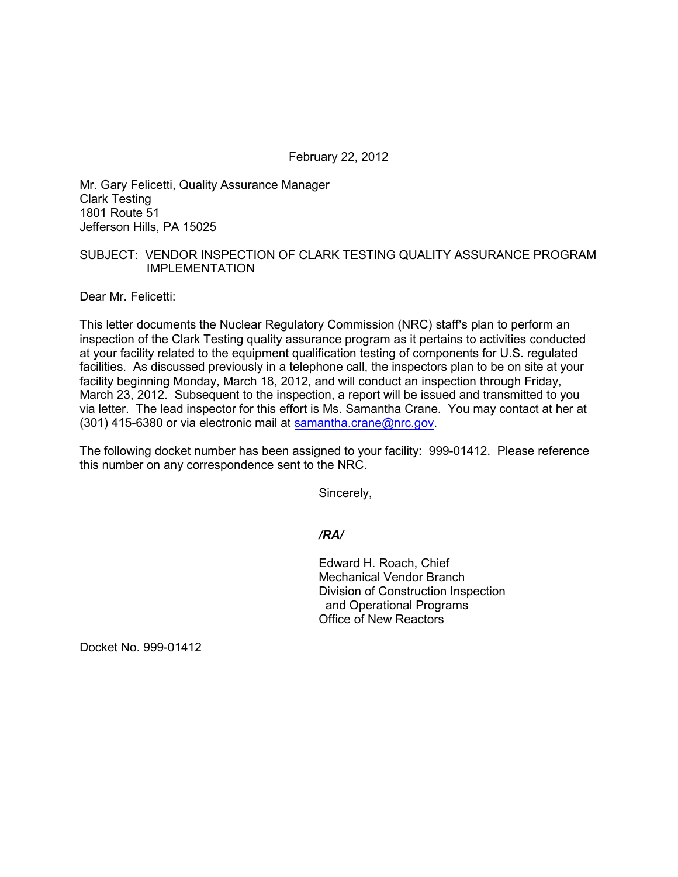February 22, 2012

Mr. Gary Felicetti, Quality Assurance Manager Clark Testing 1801 Route 51 Jefferson Hills, PA 15025

## SUBJECT: VENDOR INSPECTION OF CLARK TESTING QUALITY ASSURANCE PROGRAM IMPLEMENTATION

Dear Mr. Felicetti:

This letter documents the Nuclear Regulatory Commission (NRC) staff's plan to perform an inspection of the Clark Testing quality assurance program as it pertains to activities conducted at your facility related to the equipment qualification testing of components for U.S. regulated facilities. As discussed previously in a telephone call, the inspectors plan to be on site at your facility beginning Monday, March 18, 2012, and will conduct an inspection through Friday, March 23, 2012. Subsequent to the inspection, a report will be issued and transmitted to you via letter. The lead inspector for this effort is Ms. Samantha Crane. You may contact at her at (301) 415-6380 or via electronic mail at samantha.crane@nrc.gov.

The following docket number has been assigned to your facility: 999-01412. Please reference this number on any correspondence sent to the NRC.

Sincerely,

*/RA/* 

Edward H. Roach, Chief Mechanical Vendor Branch Division of Construction Inspection and Operational Programs Office of New Reactors

Docket No. 999-01412